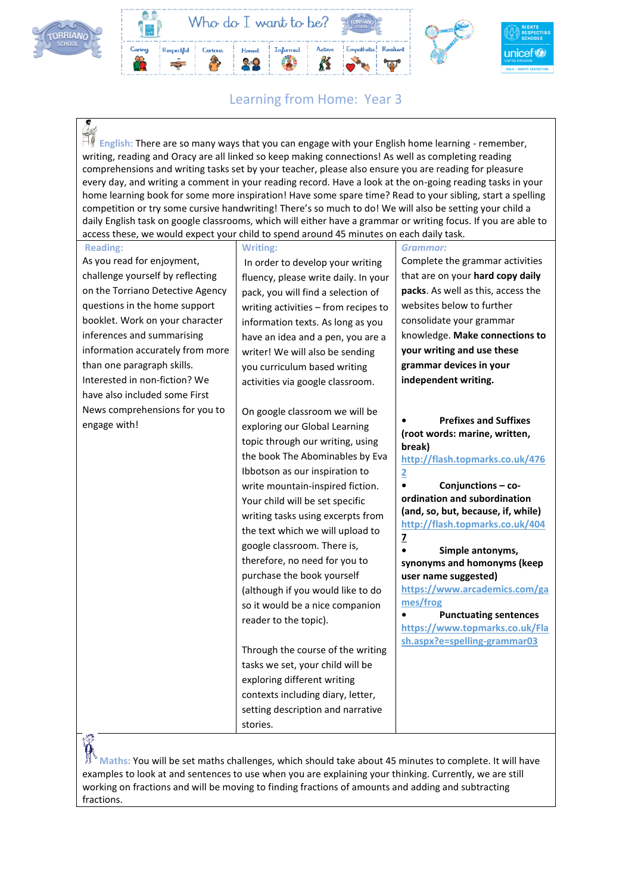



## Learning from Home: Year 3

**English:** There are so many ways that you can engage with your English home learning - remember, writing, reading and Oracy are all linked so keep making connections! As well as completing reading comprehensions and writing tasks set by your teacher, please also ensure you are reading for pleasure every day, and writing a comment in your reading record. Have a look at the on-going reading tasks in your home learning book for some more inspiration! Have some spare time? Read to your sibling, start a spelling competition or try some cursive handwriting! There's so much to do! We will also be setting your child a daily English task on google classrooms, which will either have a grammar or writing focus. If you are able to access these, we would expect your child to spend around 45 minutes on each daily task.

| <b>Reading:</b>                  | <b>Writing:</b>                      | Grammar:                                                              |
|----------------------------------|--------------------------------------|-----------------------------------------------------------------------|
| As you read for enjoyment,       | In order to develop your writing     | Complete the grammar activities                                       |
| challenge yourself by reflecting | fluency, please write daily. In your | that are on your hard copy daily                                      |
| on the Torriano Detective Agency | pack, you will find a selection of   | packs. As well as this, access the                                    |
| questions in the home support    | writing activities - from recipes to | websites below to further                                             |
| booklet. Work on your character  | information texts. As long as you    | consolidate your grammar                                              |
| inferences and summarising       | have an idea and a pen, you are a    | knowledge. Make connections to                                        |
| information accurately from more | writer! We will also be sending      | your writing and use these                                            |
| than one paragraph skills.       | you curriculum based writing         | grammar devices in your                                               |
| Interested in non-fiction? We    | activities via google classroom.     | independent writing.                                                  |
| have also included some First    |                                      |                                                                       |
| News comprehensions for you to   | On google classroom we will be       |                                                                       |
| engage with!                     | exploring our Global Learning        | <b>Prefixes and Suffixes</b><br>(root words: marine, written,         |
|                                  | topic through our writing, using     | break)                                                                |
|                                  | the book The Abominables by Eva      | http://flash.topmarks.co.uk/476                                       |
|                                  | Ibbotson as our inspiration to       | 2                                                                     |
|                                  | write mountain-inspired fiction.     | $\bullet$<br>Conjunctions - co-                                       |
|                                  | Your child will be set specific      | ordination and subordination                                          |
|                                  | writing tasks using excerpts from    | (and, so, but, because, if, while)<br>http://flash.topmarks.co.uk/404 |
|                                  | the text which we will upload to     | $\overline{z}$                                                        |
|                                  | google classroom. There is,          | Simple antonyms,                                                      |
|                                  | therefore, no need for you to        | synonyms and homonyms (keep                                           |
|                                  | purchase the book yourself           | user name suggested)                                                  |
|                                  | (although if you would like to do    | https://www.arcademics.com/ga                                         |
|                                  | so it would be a nice companion      | mes/frog<br><b>Punctuating sentences</b>                              |
|                                  | reader to the topic).                | https://www.topmarks.co.uk/Fla                                        |
|                                  |                                      | sh.aspx?e=spelling-grammar03                                          |
|                                  | Through the course of the writing    |                                                                       |
|                                  | tasks we set, your child will be     |                                                                       |
|                                  | exploring different writing          |                                                                       |
|                                  | contexts including diary, letter,    |                                                                       |
|                                  | setting description and narrative    |                                                                       |
| œ.                               | stories.                             |                                                                       |

y.

**Maths:** You will be set maths challenges, which should take about 45 minutes to complete. It will have examples to look at and sentences to use when you are explaining your thinking. Currently, we are still working on fractions and will be moving to finding fractions of amounts and adding and subtracting fractions.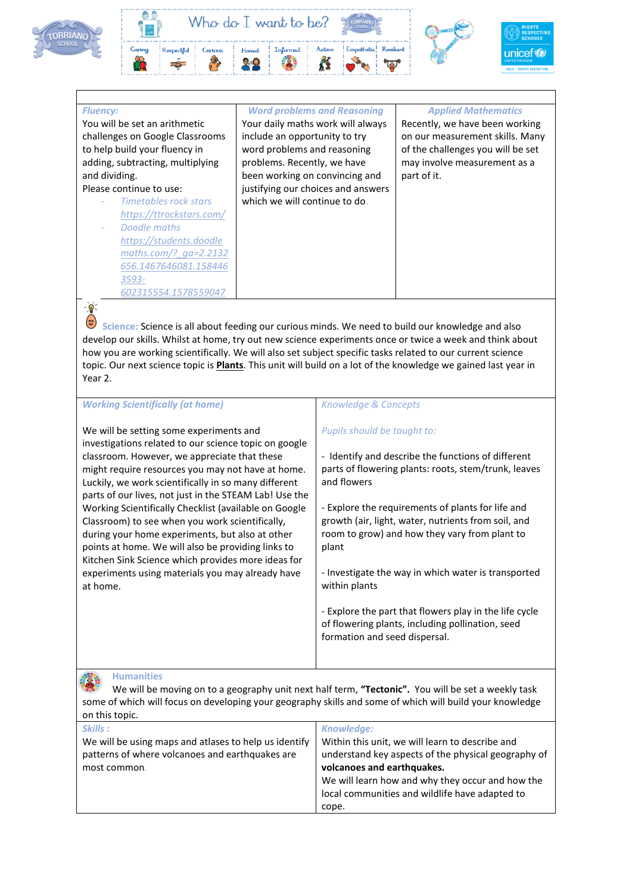



## *Fluency:*

 $-\overline{\mathbf{Q}}$ 

You will be set an arithmetic challenges on Google Classrooms to help build your fluency in adding, subtracting, multiplying and dividing.

## Please continue to use:

- *Timetables rock stars <https://ttrockstars.com/>* - *Doodle maths [https://students.doodle](https://students.doodlemaths.com/?_ga=2.2132656.1467646081.1584463593-602315554.1578559047) [maths.com/?\\_ga=2.2132](https://students.doodlemaths.com/?_ga=2.2132656.1467646081.1584463593-602315554.1578559047) [656.1467646081.158446](https://students.doodlemaths.com/?_ga=2.2132656.1467646081.1584463593-602315554.1578559047) [3593-](https://students.doodlemaths.com/?_ga=2.2132656.1467646081.1584463593-602315554.1578559047) [602315554.1578559047](https://students.doodlemaths.com/?_ga=2.2132656.1467646081.1584463593-602315554.1578559047)*

*Word problems and Reasoning* Your daily maths work will always include an opportunity to try word problems and reasoning problems. Recently, we have been working on convincing and justifying our choices and answers which we will continue to do.

### *Applied Mathematics*

Recently, we have been working on our measurement skills. Many of the challenges you will be set may involve measurement as a part of it.

Science: Science is all about feeding our curious minds. We need to build our knowledge and also develop our skills. Whilst at home, try out new science experiments once or twice a week and think about how you are working scientifically. We will also set subject specific tasks related to our current science topic. Our next science topic is **Plants**. This unit will build on a lot of the knowledge we gained last year in Year 2.

## *Working Scientifically (at home)*

We will be setting some experiments and investigations related to our science topic on google classroom. However, we appreciate that these might require resources you may not have at home. Luckily, we work scientifically in so many different parts of our lives, not just in the STEAM Lab! Use the Working Scientifically Checklist (available on Google Classroom) to see when you work scientifically, during your home experiments, but also at other points at home. We will also be providing links to Kitchen Sink Science which provides more ideas for experiments using materials you may already have at home.

### *Knowledge & Concepts*

### *Pupils should be taught to:*

- Identify and describe the functions of different parts of flowering plants: roots, stem/trunk, leaves and flowers

- Explore the requirements of plants for life and growth (air, light, water, nutrients from soil, and room to grow) and how they vary from plant to plant

- Investigate the way in which water is transported within plants

- Explore the part that flowers play in the life cycle of flowering plants, including pollination, seed formation and seed dispersal.

**Humanities**  We will be moving on to a geography unit next half term, **"Tectonic".** You will be set a weekly task some of which will focus on developing your geography skills and some of which will build your knowledge on this topic.

| <b>UIL GILLS CONIG.</b>                               |                                                     |  |
|-------------------------------------------------------|-----------------------------------------------------|--|
| Skills:                                               | Knowledge:                                          |  |
| We will be using maps and atlases to help us identify | Within this unit, we will learn to describe and     |  |
| patterns of where volcanoes and earthquakes are       | understand key aspects of the physical geography of |  |
| most common.                                          | volcanoes and earthquakes.                          |  |
|                                                       | We will learn how and why they occur and how the    |  |
|                                                       | local communities and wildlife have adapted to      |  |
|                                                       | cope.                                               |  |
|                                                       |                                                     |  |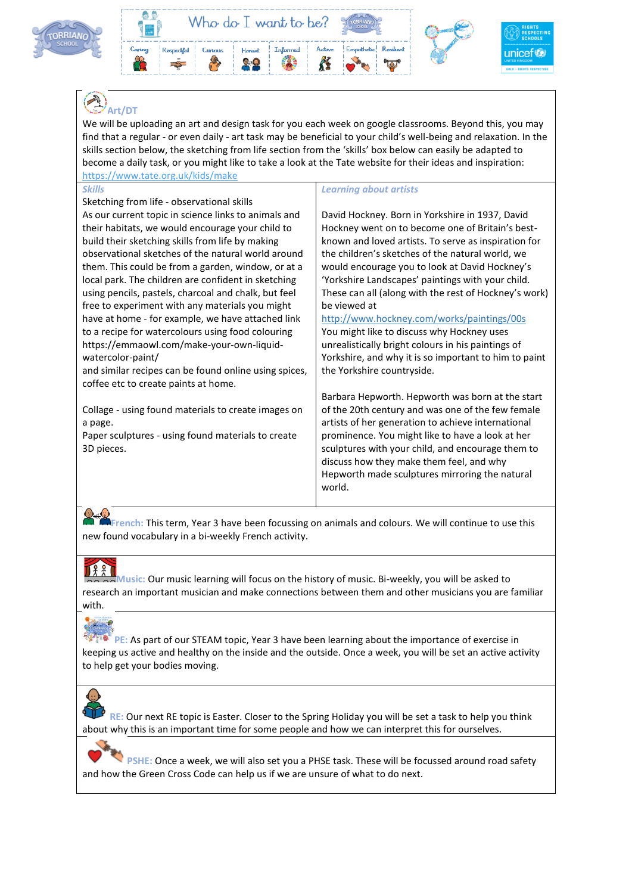



# **Art/DT**

We will be uploading an art and design task for you each week on google classrooms. Beyond this, you may find that a regular - or even daily - art task may be beneficial to your child's well-being and relaxation. In the skills section below, the sketching from life section from the 'skills' box below can easily be adapted to become a daily task, or you might like to take a look at the Tate website for their ideas and inspiration: <https://www.tate.org.uk/kids/make>

### *Skills*

Sketching from life - observational skills As our current topic in science links to animals and their habitats, we would encourage your child to build their sketching skills from life by making observational sketches of the natural world around them. This could be from a garden, window, or at a local park. The children are confident in sketching using pencils, pastels, charcoal and chalk, but feel free to experiment with any materials you might have at home - for example, we have attached link to a recipe for watercolours using food colouring https://emmaowl.com/make-your-own-liquidwatercolor-paint/

and similar recipes can be found online using spices, coffee etc to create paints at home.

Collage - using found materials to create images on a page.

Paper sculptures - using found materials to create 3D pieces.

### *Learning about artists*

David Hockney. Born in Yorkshire in 1937, David Hockney went on to become one of Britain's bestknown and loved artists. To serve as inspiration for the children's sketches of the natural world, we would encourage you to look at David Hockney's 'Yorkshire Landscapes' paintings with your child. These can all (along with the rest of Hockney's work) be viewed at

<http://www.hockney.com/works/paintings/00s> You might like to discuss why Hockney uses unrealistically bright colours in his paintings of Yorkshire, and why it is so important to him to paint the Yorkshire countryside.

Barbara Hepworth. Hepworth was born at the start of the 20th century and was one of the few female artists of her generation to achieve international prominence. You might like to have a look at her sculptures with your child, and encourage them to discuss how they make them feel, and why Hepworth made sculptures mirroring the natural world.

**French:** This term, Year 3 have been focussing on animals and colours. We will continue to use this new found vocabulary in a bi-weekly French activity.

**Music:** Our music learning will focus on the history of music. Bi-weekly, you will be asked to research an important musician and make connections between them and other musicians you are familiar with.

**PE:** As part of our STEAM topic, Year 3 have been learning about the importance of exercise in keeping us active and healthy on the inside and the outside. Once a week, you will be set an active activity to help get your bodies moving.

**RE:** Our next RE topic is Easter. Closer to the Spring Holiday you will be set a task to help you think about why this is an important time for some people and how we can interpret this for ourselves.

PSHE: Once a week, we will also set you a PHSE task. These will be focussed around road safety and how the Green Cross Code can help us if we are unsure of what to do next.